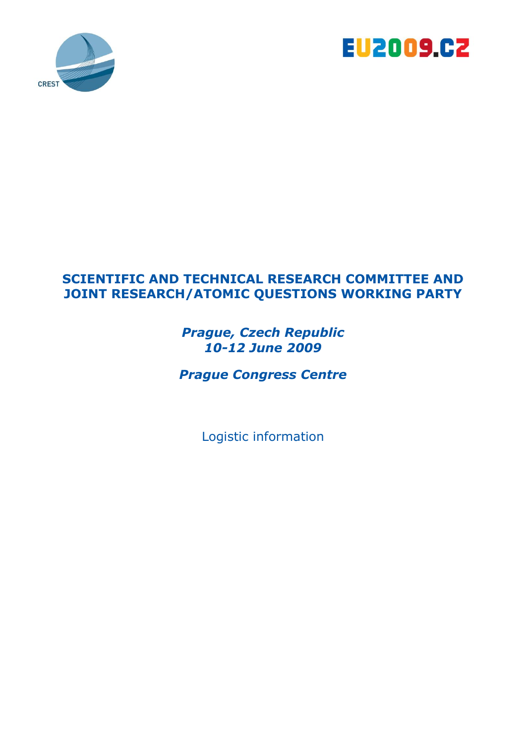



# **SCIENTIFIC AND TECHNICAL RESEARCH COMMITTEE AND JOINT RESEARCH/ATOMIC QUESTIONS WORKING PARTY**

*Prague, Czech Republic 10-12 June 2009*

*Prague Congress Centre* 

Logistic information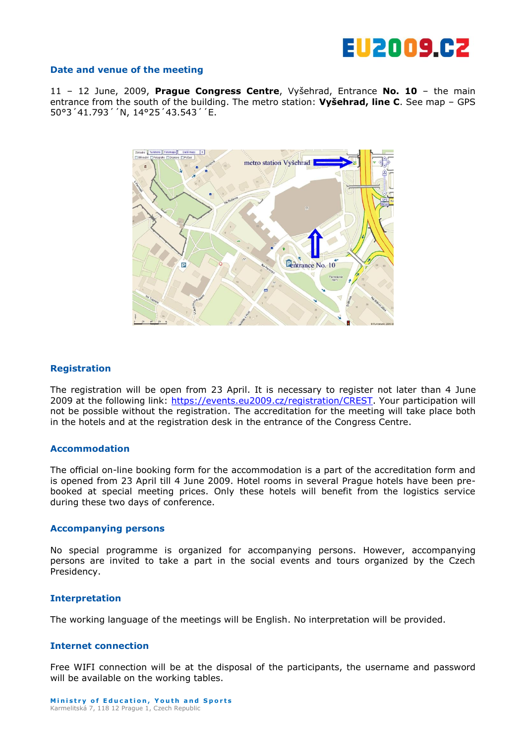

#### **Date and venue of the meeting**

11 – 12 June, 2009, **Prague Congress Centre**, Vyšehrad, Entrance **No. 10** – the main entrance from the south of the building. The metro station: **Vyšehrad, line C**. See map – GPS 50°3´41.793´´N, 14°25´43.543´´E.



#### **Registration**

The registration will be open from 23 April. It is necessary to register not later than 4 June 2009 at the following link: [https://events.eu2009.cz/registration/CREST.](https://events.eu2009.cz/registration/CREST) Your participation will not be possible without the registration. The accreditation for the meeting will take place both in the hotels and at the registration desk in the entrance of the Congress Centre.

#### **Accommodation**

The official on-line booking form for the accommodation is a part of the accreditation form and is opened from 23 April till 4 June 2009. Hotel rooms in several Prague hotels have been prebooked at special meeting prices. Only these hotels will benefit from the logistics service during these two days of conference.

#### **Accompanying persons**

No special programme is organized for accompanying persons. However, accompanying persons are invited to take a part in the social events and tours organized by the Czech Presidency.

#### **Interpretation**

The working language of the meetings will be English. No interpretation will be provided.

#### **Internet connection**

Free WIFI connection will be at the disposal of the participants, the username and password will be available on the working tables.